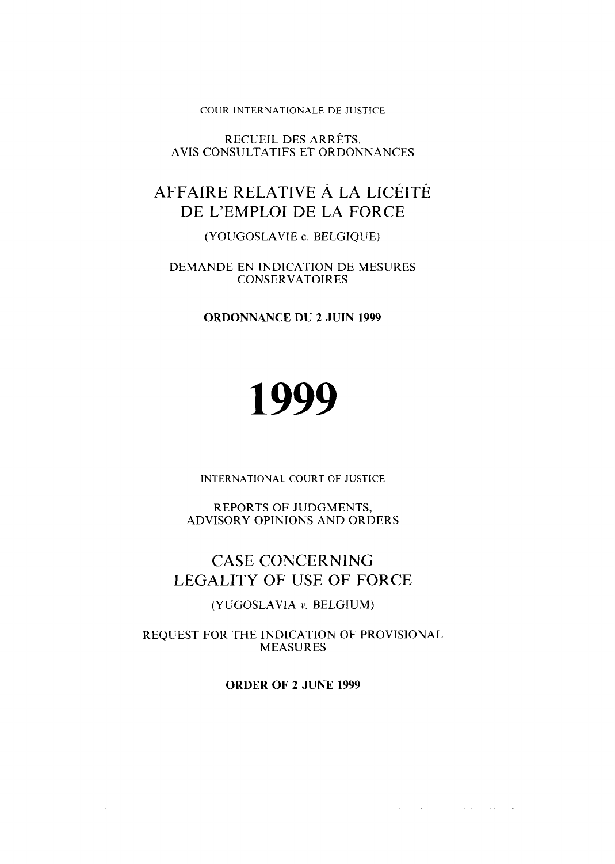#### COUR INTERNATIONALE DE JUSTICE

RECUEIL DES ARRETS, AVIS CONSULTATIFS ET ORDONNANCES

# AFFAIRE RELATIVE À LA LICÉITÉ DE L'EMPLOI DE LA FORCE

## (YOUGOSLAVIE c. BELGIQUE)

DEMANDE EN INDICATION DE MESURES CONSERVATOIRES

**ORDONNANCE DU 2 JUIN 1999** 

# 1999

INTERNATIONAL COURT OF JUSTICE

REPORTS OF JUDGMENTS, ADVISORY OPINIONS AND ORDERS

# CASE CONCERNING LEGALITY OF USE OF FORCE

(YUGOSLAVIA **v.** BELGIUM)

REQUEST FOR THE INDICATION OF PROVISIONAL MEASURES

**ORDER OF 2 JUNE 1999** 

المحادث ومستجد والأناب والمتحدث والمتاريخ

 $\mathcal{A}^{\mathcal{A}}$  and  $\mathcal{A}^{\mathcal{A}}$  are  $\mathcal{A}^{\mathcal{A}}$  . The set of the set of  $\mathcal{A}$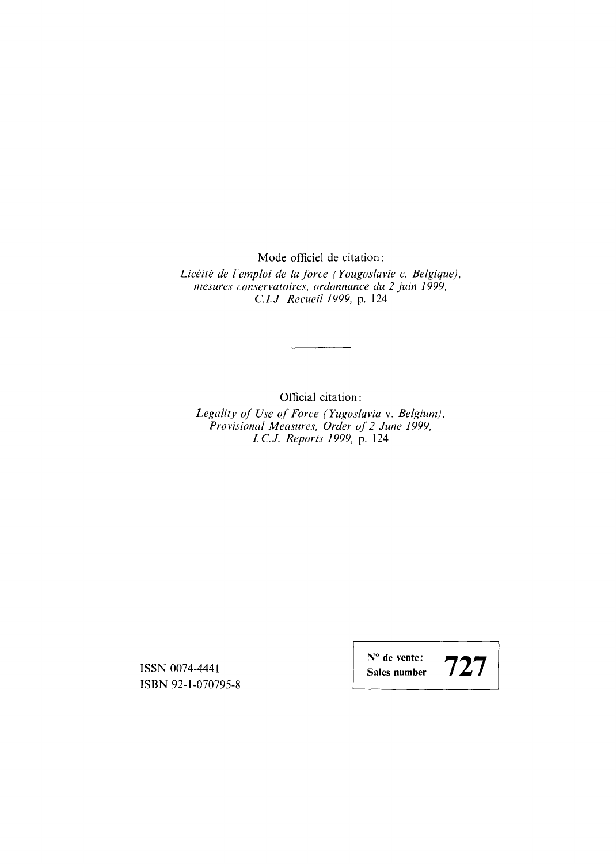Mode officiel de citation *Licéité de l'emploi de la force (Yougoslavie* c. *Belgique), mesures conservatoires, ordonnance du 2 juin 1999, C.I. J. Recueil 1999,* p. 124

Official citation :

*Legality* of *Use of Force (Yugoslavia* v. *Belgium), Provisional Measures, Order of 2 June 1999,*  1. *C. J. Reports 1999,* p. 124

ISSN 0074-4441 ISBN 92-1-070795-8 N<sup>o</sup> de vente: 727 **Sales nurnber**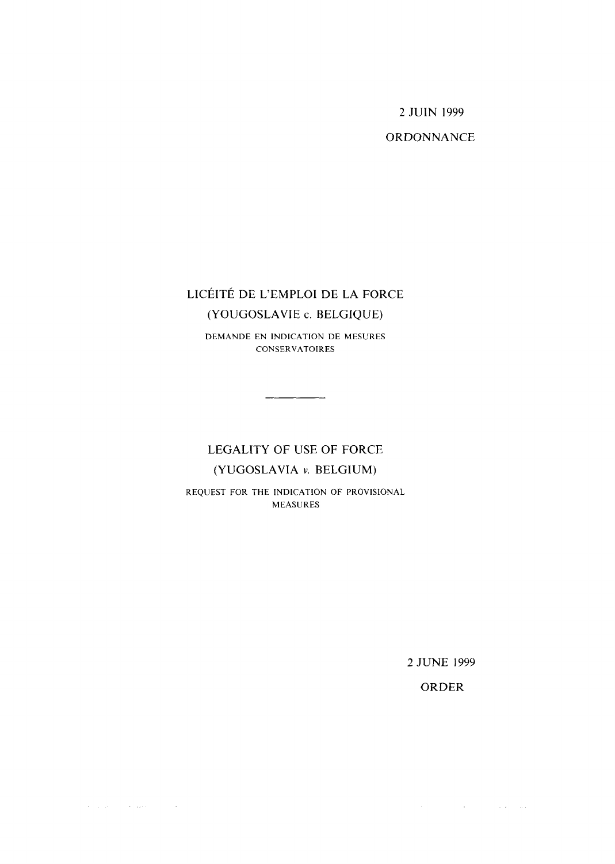## 2 JUIN 1999

## **ORDONNANCE**

# LICÉITÉ DE L'EMPLOI DE LA FORCE (YOUGOSLAVIE c. BELGIQUE)

DEMANDE EN INDICATION DE MESURES **CONSERVATOIRES** 

# LEGALITY OF USE OF FORCE (YUGOSLAVIA **v.** BELGIUM)

REQUEST FOR THE INDICATION OF PROVISIONAL MEASURES

 $\mathcal{A}$  , and  $\mathcal{A}$  , and  $\mathcal{A}$  , and  $\mathcal{A}$  , and  $\mathcal{A}$ 

2 JUNE 1999

ORDER

 $\mathcal{L}^{\mathcal{L}}(\mathcal{L}^{\mathcal{L}}(\mathcal{L}^{\mathcal{L}}(\mathcal{L}^{\mathcal{L}}(\mathcal{L}^{\mathcal{L}}(\mathcal{L}^{\mathcal{L}}(\mathcal{L}^{\mathcal{L}}(\mathcal{L}^{\mathcal{L}}(\mathcal{L}^{\mathcal{L}}(\mathcal{L}^{\mathcal{L}}(\mathcal{L}^{\mathcal{L}}(\mathcal{L}^{\mathcal{L}}(\mathcal{L}^{\mathcal{L}}(\mathcal{L}^{\mathcal{L}}(\mathcal{L}^{\mathcal{L}}(\mathcal{L}^{\mathcal{L}}(\mathcal{L}^{\mathcal{L$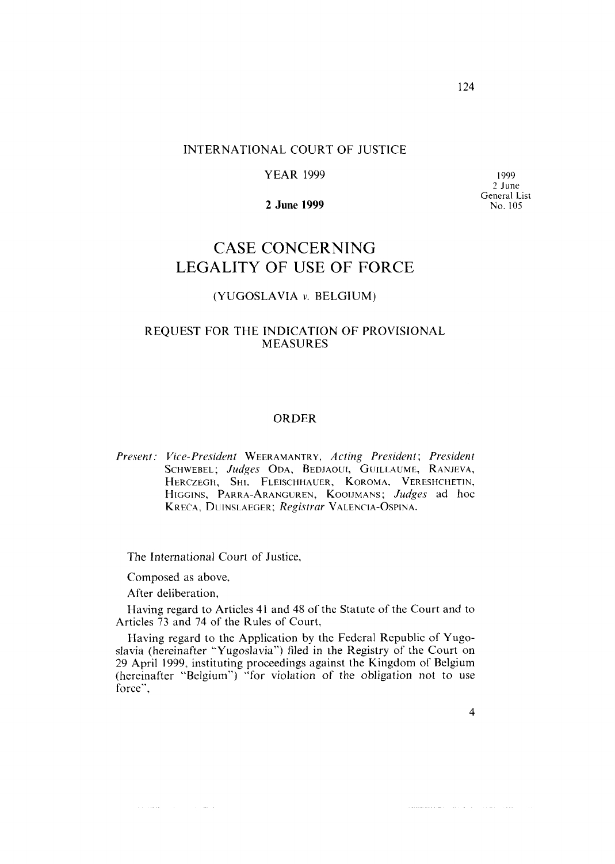## INTERNATIONAL COURT OF JUSTICE

#### YEAR 1999

**2 June** 1999

1999 2 June General List No. 105

# CASE CONCERNING LEGALITY OF USE OF FORCE

## (YUGOSLAVIA **v.** BELGIUM)

## REQUEST FOR THE INDICATION OF PROVISIONAL MEASURES

#### ORDER

*Present: Vice-President WEERAMANTRY, Acting President; President* SCHWEBEL; *Judges* ODA, BEDJAOUI, GUILLAUME, RANJEVA, HERCZEGH, SHI. FLEISCHHAUER, KOROMA, VERESHCHETIN, HIGGINS, PARRA-ARANGUREN, KOOIJMANS; *Judges* ad hoc KRECA, DUINSLAEGER; *Registru* VALENCIA-OSPINA.

The International Court of Justice,

Composed as above,

After deliberation,

لواست المنابعة

Having regard to Articles 41 and 48 of the Statute of the Court and to Articles 73 and 74 of the Rules of Court,

Having regard to the Application by the Federal Republic of Yugoslavia (hereinafter "Yugoslavia") filed in the Registry of the Court on 29 April 1999, instituting proceedings against the Kingdom of Belgium (hereinafter "Belgium") "for violation of the obligation not to use force".

contains and a series of the company of the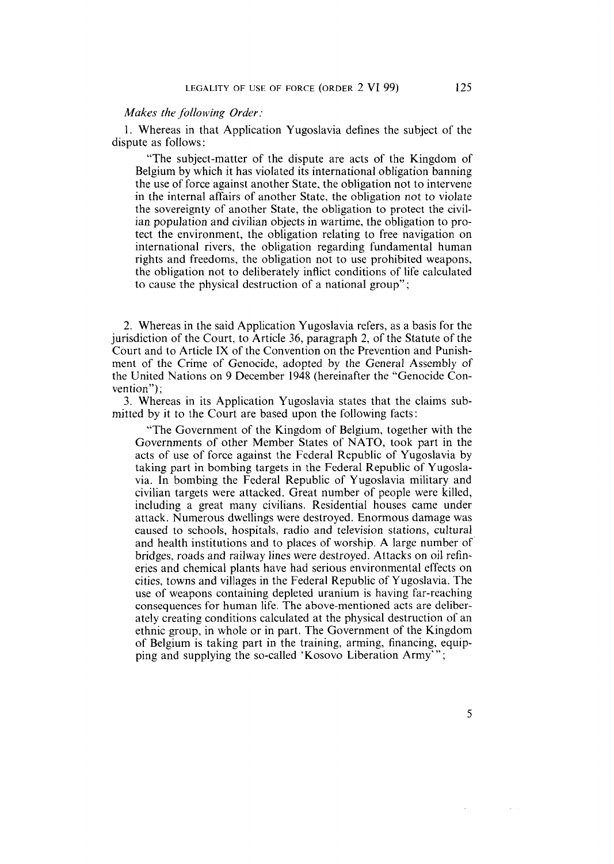#### *Makes the folloiving Order:*

1. Whereas in that Application Yugoslavia defines the subject of the dispute as follows:

"The subject-matter of the dispute are acts of the Kingdom of Belgium by which it has violated its international obligation banning the use of force against another State, the obligation not to intervene in the interna1 affairs of another State, the obligation not to violate the sovereignty of another State, the obligation to protect the civilian population and civilian objects in wartime, the obligation to protect the environment, the obligation relating to free navigation on international rivers, the obligation regarding fundamental human rights and freedoms, the obligation not to use prohibited weapons, the obligation not to deliberately inflict conditions of life calculated to cause the physical destruction of a national group";

*2.* Whereas in the said Application Yugoslavia refers, as a basis for the jurisdiction of the Court, to Article 36, paragraph 2, of the Statute of the Court and to Article IX of the Convention on the Prevention and Punishment of the Crime of Genocide, adopted by the General Assembly of the United Nations on 9 December 1948 (hereinafter the "Genocide Convention");

3. Whereas in its Application Yugoslavia states that the claims submitted by it to the Court are based upon the following facts:

"The Government of the Kingdom of Belgium, together with the Governments of other Member States of NATO, took part in the acts of use of force against the Federal Republic of Yugoslavia by taking part in bombing targets in the Federal Republic of Yugoslavia. In bombing the Federal Republic of Yugoslavia military and civilian targets were attacked. Great number of people were killed, including a great many civilians. Residential houses came under attack. Numerous dwellings were destroyed. Enormous damage was caused to schools, hospitals, radio and television stations, cultural and health institutions and to places of worship. A large number of bridges, roads and railway lines were destroyed. Attacks on oil refineries and chemical plants have had serious environmental effects on cities, towns and villages in the Federal Republic of Yugoslavia. The use of weapons containing depleted uranium is having far-reaching consequences for human life. The above-mentioned acts are deliberately creating conditions calculated at the physical destruction of an ethnic group, in whole or in part. The Government of the Kingdom of Belgium is taking part in the training, arming, financing, equipping and supplying the so-called 'Kosovo Liberation Army'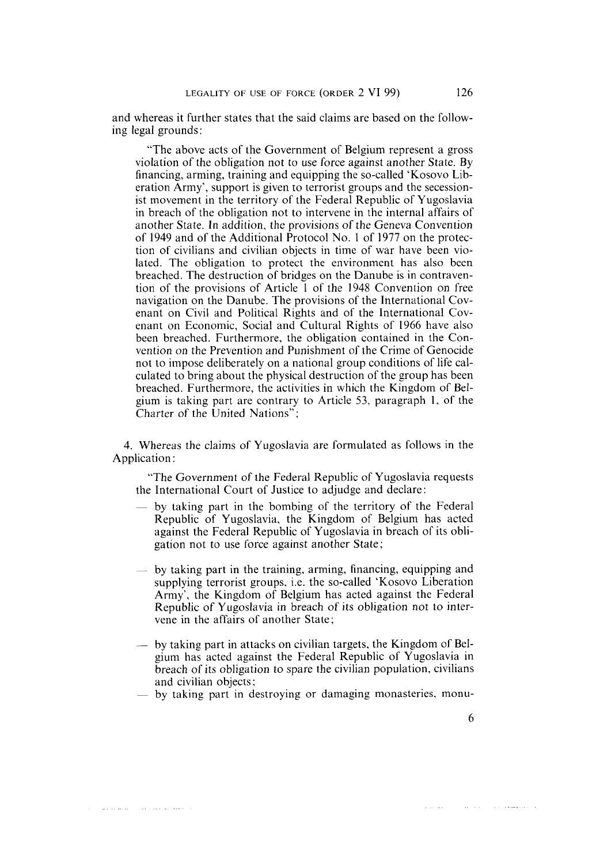and whereas it further states that the said claims are based on the following legal grounds:

"The above acts of the Government of Belgium represent a gross violation of the obligation not to use force against another State. By financing, arming, training and equipping the so-called 'Kosovo Liberation Army', support is given to terrorist groups and the secessionist movement in the territory of the Federal Republic of Yugoslavia in breach of the obligation not to intervene in the interna1 affairs of another State. In addition, the provisions of the Geneva Convention of 1949 and of the Additional Protocol No. 1 of 1977 on the protection of civilians and civilian objects in time of war have been violated. The obligation to protect the environment has also been breached. The destruction of bridges on the Danube is in contravention of the provisions of Article 1 of the 1948 Convention on free navigation on the Danube. The provisions of the International Covenant on Civil and Political Rights and of the International Covenant on Economic, Social and Cultural Rights of 1966 have also been breached. Furthermore, the obligation contained in the Convention on the Prevention and Punishment of the Crime of Genocide not to impose deliberately on a national group conditions of life calculated to bring about the physical destruction of the group has been breached. Furthermore, the activities in which the Kingdom of Belgium is taking part are contrary to Article 53, paragraph l, of the Charter of the United Nations";

4. Whereas the claims of Yugoslavia are formulated as follows in the Application :

"The Government of the Federal Republic of Yugoslavia requests the International Court of Justice to adjudge and declare:

- by taking part in the bombing of the territory of the Federal Republic of Yugoslavia, the Kingdom of Belgium has acted against the Federal Republic of Yugoslavia in breach of its obligation not to use force against another State;
- by taking part in the training, arming, financing, equipping and supplying terrorist groups, i.e. the so-called 'Kosovo Liberation Army', the Kingdom of Belgium has acted against the Federal Republic of Yugoslavia in breach of its obligation not to intervene in the affairs of another State;
- by taking part in attacks on civilian targets, the Kingdom of Belgium has acted against the Federal Republic of Yugoslavia in breach of its obligation to spare the civilian population, civilians and civilian objects ;
- $-$  by taking part in destroying or damaging monasteries, monu-

ومستفرد سوار فلتتركز والمترافي المواريد الولقي

126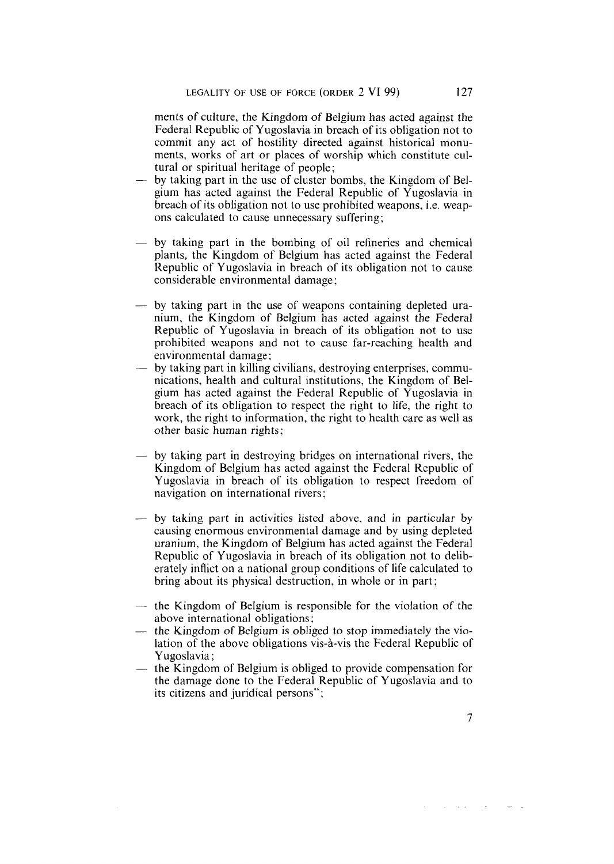ments of culture, the Kingdom of Belgium has acted against the Federal Republic of Yugoslavia in breach of its obligation not to commit any act of hostility directed against historical monuments, works of art or places of worship which constitute cultural or spiritual heritage of people;

- by taking part in the use of cluster bombs, the Kingdom of Belgium has acted against the Federal Republic of Yugoslavia in breach of its obligation not to use prohibited weapons, i.e. weapons calculated to cause unnecessary suffering;
- by taking part in the bombing of oil refineries and chemical plants, the Kingdom of Belgium has acted against the Federal Republic of Yugoslavia in breach of its obligation not to cause considerable environmental damage;
- by taking part in the use of weapons containing depleted uranium, the Kingdom of Belgium has acted against the Federal Republic of Yugoslavia in breach of its obligation not to use prohibited weapons and not to cause far-reaching health and environmental damage;
- by taking part in killing civilians, destroying enterprises, communications, health and cultural institutions, the Kingdom of Belgium has acted against the Federal Republic of Yugoslavia in breach of its obligation to respect the right to life, the right to work, the right to information, the right to health care as well as other basic human rights;
- by taking part in destroying bridges on international rivers, the Kingdom of Belgium has acted against the Federal Republic of Yugoslavia in breach of its obligation to respect freedom of navigation on international rivers;
- by taking part in activities listed above, and in particular by causing enormous environmental damage and by using depleted uranium, the Kingdom of Belgium has acted against the Federal Republic of Yugoslavia in breach of its obligation not to deliberately infiict on a national group conditions of life calculated to bring about its physical destruction, in whole or in part;
- the Kingdom of Belgium is responsible for the violation of the above international obligations;
- the Kingdom of Belgium is obliged to stop immediately the violation of the above obligations vis-à-vis the Federal Republic of Y ugoslavia ;
- the Kingdom of Belgium is obliged to provide compensation for the damage done to the Federal Republic of Yugoslavia and to its citizens and juridical persons";

**Contract**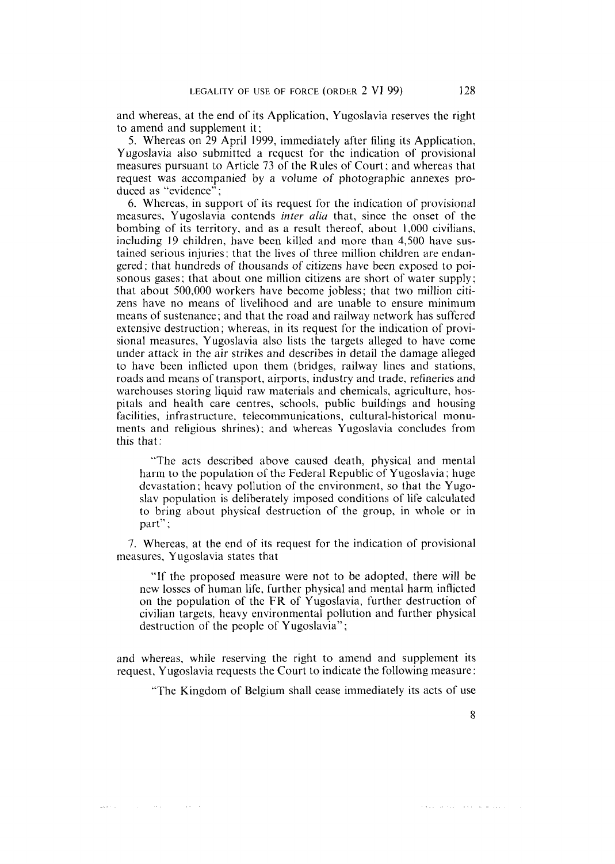and whereas, at the end of its Application, Yugoslavia reserves the right to amend and supplement it;

5. Whereas on 29 April 1999, immediately after filing its Application, Yugoslavia also submitted a request for the indication of provisional measures pursuant to Article 73 of the Rules of Court; and whereas that request was accompanied by a volume of photographic annexes produced as "evidence":

6. Whereas, in support of its request for the indication of provisional measures, Yugoslavia contends *inter dia* that, since the onset of the bombing of its territory, and as a result thereof, about 1,000 civilians, including 19 children, have been killed and more than 4,500 have sustained serious injuries; that the lives of three million children are endangered; that hundreds of thousands of citizens have been exposed to poisonous gases; that about one million citizens are short of water supply; that about 500,000 workers have become jobless; that two million citizens have no means of livelihood and are unable to ensure minimum means of sustenance; and that the road and railway network has suffered extensive destruction; whereas, in its request for the indication of provisional measures, Yugoslavia also lists the targets alleged to have come under attack in the air strikes and describes in detail the damage alleged to have been inflicted upon them (bridges, railway lines and stations, roads and means of transport, airports, industry and trade, refineries and warehouses storing liquid raw materials and chemicals, agriculture, hospitals and health care centres, schools, public buildings and housing facilities, infrastructure, telecommunications, cultural-historical monuments and religious shrines); and whereas Yugoslavia concludes from this that :

"The acts described above caused death, physical and mental harm to the population of the Federal Republic of Yugoslavia; huge devastation; heavy pollution of the environment, so that the Yugoslav population is deliberately imposed conditions of life calculated to bring about physical destruction of the group, in whole or in part" ;

7. Whereas, at the end of its request for the indication of provisional measures, Yugoslavia states that

"If the proposed measure were not to be adopted, there will be new losses of human life, further physical and mental harm inflicted on the population of the FR of Yugoslavia, further destruction of civilian targets, heavy environmental pollution and further physical destruction of the people of Yugoslavia";

and whereas, while reserving the right to amend and supplement its request, Yugoslavia requests the Court to indicate the following measure:

 $\sim 10^{-1}$ 

 $\Delta$  and  $\Delta$ 

"The Kingdom of Belgium shall cease immediately its acts of use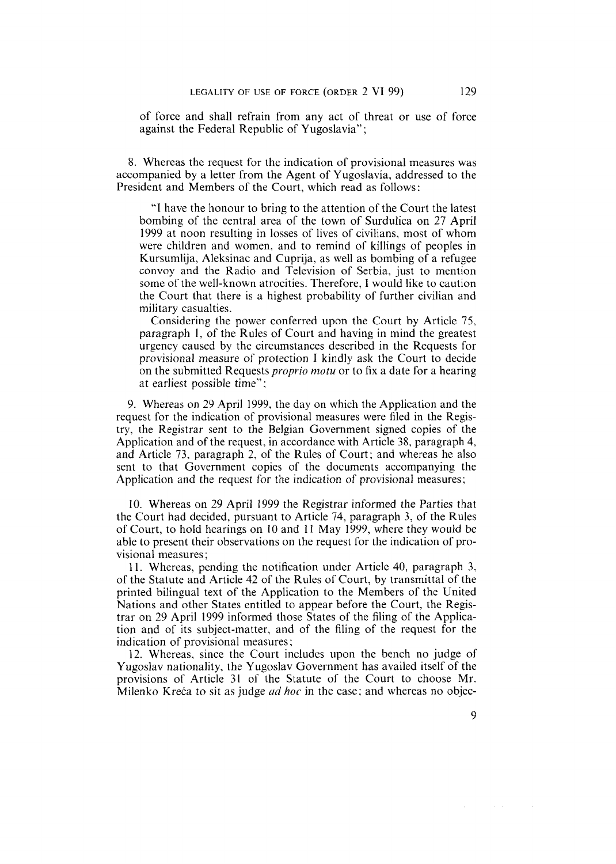of force and shall refrain from any act of threat or use of force against the Federal Republic of Yugoslavia";

8. Whereas the request for the indication of provisional measures was accompanied by a letter from the Agent of Yugoslavia, addressed to the President and Members of the Court, which read as follows:

"1 have the honour to bring to the attention of the Court the latest bombing of the central area of the town of Surdulica on 27 April 1999 at noon resulting in losses of lives of civilians, most of whom were children and women, and to remind of killings of peoples in Kursumlija, Aleksinac and Cuprija, as well as bombing of a refugee convoy and the Radio and Television of Serbia, just to mention some of the well-known atrocities. Therefore, **1** would like to caution the Court that there is a highest probability of further civilian and military casualties.

Considering the power conferred upon the Court by Article 75, paragraph 1, of the Rules of Court and having in mind the greatest urgency caused by the circumstances described in the Requests for provisional measure of protection 1 kindly ask the Court to decide on the submitted Requests *proprio motu* or to fix a date for a hearing at earliest possible time";

9. Whereas on 29 April 1999, the day on which the Application and the request for the indication of provisional measures were filed in the Registry, the Registrar sent to the Belgian Government signed copies of the Application and of the request, in accordance with Article 38, paragraph 4, and Article 73, paragraph 2, of the Rules of Court; and whereas he also sent to that Government copies of the documents accompanying the Application and the request for the indication of provisional measures;

10. Whereas on 29 April 1999 the Registrar informed the Parties that the Court had decided, pursuant to Article 74, paragraph 3, of the Rules of Court, to hold hearings on 10 and 11 May 1999, where they would be able to present their observations on the request for the indication of provisional measures ;

11. Whereas, pending the notification under Article 40, paragraph 3, of the Statute and Article 42 of the Rules of Court, by transmittal of the printed bilingual text of the Application to the Members of the United Nations and other States entitled to appear before the Court, the Registrar on 29 April 1999 informed those States of the filing of the Application and of its subject-matter, and of the filing of the request for the indication of provisional measures;

12. Whereas, since the Court includes upon the bench no judge of Yugoslav nationality, the Yugoslav Government has availed itself of the provisions of Article 31 of the Statute of the Court to choose Mr. Milenko Kreća to sit as judge *ad hoc* in the case; and whereas no objec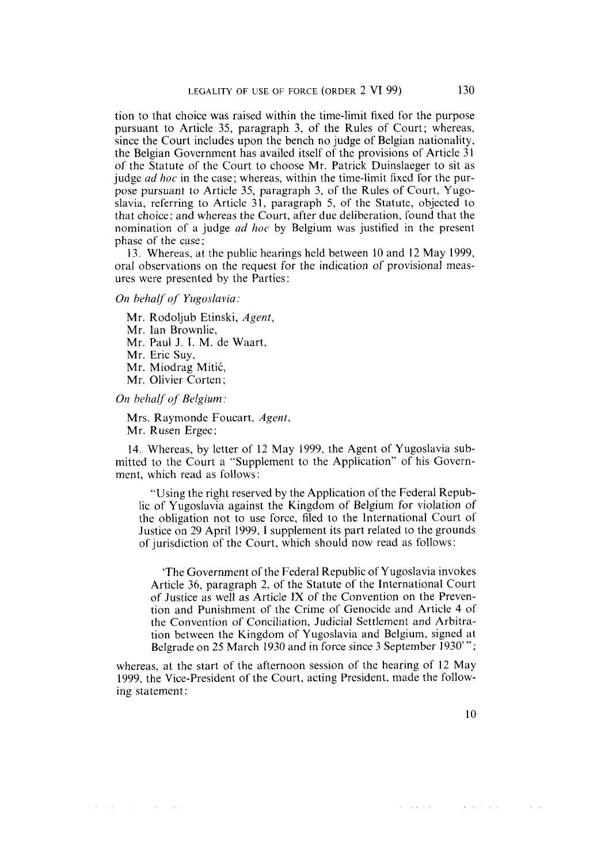tion to that choice was raised within the time-limit fixed for the purpose pursuant to Article 35, paragraph 3, of the Rules of Court; whereas, since the Court includes upon the bench no judge of Belgian nationality. the Belgian Government has availed itself of the provisions of Article 31 of the Statute of the Court to choose Mr. Patrick Duinslaeger to sit as judge *ad hoc* in the case; whereas, within the time-limit fixed for the purpose pursuant to Article 35, paragraph 3, of the Rules of Court, Yugoslavia, referring to Article 31, paragraph 5, of the Statute, objected to that choice; and whereas the Court, after due deljberation, found that the nomination of a judge *ad hoc* by Belgium was justified in the present phase of the case;

13. Whereas, at the public hearings held between 10 and 12 May 1999, oral observations on the request for the indication of provisional measures were presented by the Parties:

#### *On hehalf of Yugoslavia:*

Mr. Rodoljub Etinski, *Agent,*  Mr. lan Brownlie, Mr. Paul J. 1. M. de Waart, Mr. Eric Suy, Mr. Miodrag Mitić, Mr. Olivier Corten;

*On behalf of Belgium:* 

 $\sim$ 

Mrs. Raymonde Foucart, *Agent,*  Mr. Rusen Ergec;

14. Whereas, by letter of 12 May 1999, the Agent of Yugoslavia submitted to the Court a "Supplement to the Application" of his Government, which read as follows:

"Using the right reserved by the Application of the Federal Republic of Yugoslavia against the Kingdom of Belgium for violation of the obligation not to use force, filed to the International Court of Justice on 29 April 1999, **1** supplement its part related to the grounds of jurisdiction of the Court, which should now read as follows:

'The Government of the Federal Republic of Yugoslavia invokes Article 36, paragraph 2, of the Statute of the International Court of Justice as well as Article IX of the Convention on the Prevention and Punishment of the Crime of Genocide and Article 4 of the Convention of Conciliation, Judicial Settlement and Arbitration between the Kingdom of Yugoslavia and Belgium, signed at Belgrade on 25 March 1930 and in force since 3 September 1930'";

whereas, at the start of the afternoon session of the hearing of 12 May 1999, the Vice-President of the Court, acting President. made the following statement :

state and states

 $\sim$   $-$  .

**Service**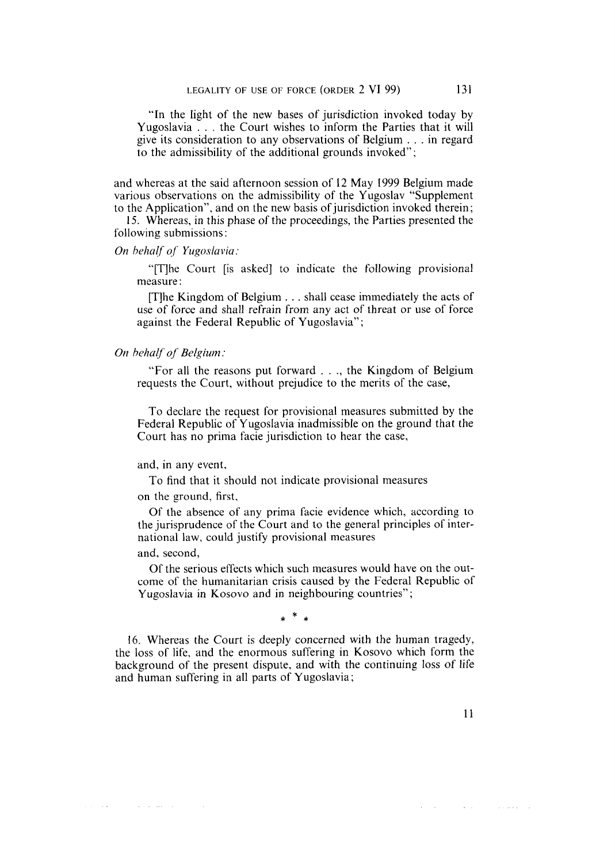"In the light of the new bases of jurisdiction invoked today by Yugoslavia . . . the Court wishes to inform the Parties that it will give its consideration to any observations of Belgium . . . in regard to the admissibility of the additional grounds invoked";

and whereas at the said afternoon session of 12 May 1999 Belgium made various observations on the admissibility of the Yugoslav "Supplement to the Application", and on the new basis of jurisdiction invoked therein;

15. Whereas, in this phase of the proceedings, the Parties presented the following submissions :

#### On *hehalf of' Yugoslavia:*

"[Tlhe Court [is asked] to indicate the following provisional measure :

[Tlhe Kingdom of Belgium . . . shall cease immediately the acts of use of force and shall refrain from any act of threat or use of force against the Federal Republic of Yugoslavia";

#### *<i>On behalf of Belgium*:

"For al1 the reasons put forward . . ., the Kingdom of Belgium requests the Court, without prejudice to the merits of the case,

To declare the request for provisional measures submitted by the Federal Republic of Yugoslavia inadmissible on the ground that the Court has no prima facie jurisdiction to hear the case,

#### and, in any event,

To find that it should not indicate provisional measures on the ground, first,

Of the absence of any prima facie evidence which, according to the jurisprudence of the Court and to the general principles of international law, could justify provisional measures

and, second,

 $\sim 10$ 

 $\Delta \sim 10^{11}$  and  $\sim 10^{11}$ 

Of the serious effects which such measures would have on the outcome of the humanitarian crisis caused by the Federal Republic of Yugoslavia in Kosovo and in neighbouring countries";

16. Whereas the Court is deeply concerned with the human tragedy, the loss of life, and the enormous suffering in Kosovo which form the background of the present dispute, and with the continuing loss of life and human suffering in al1 parts of Yugoslavia;

 $\sim 10^{11}$  km  $^{-1}$ 

**Contractor**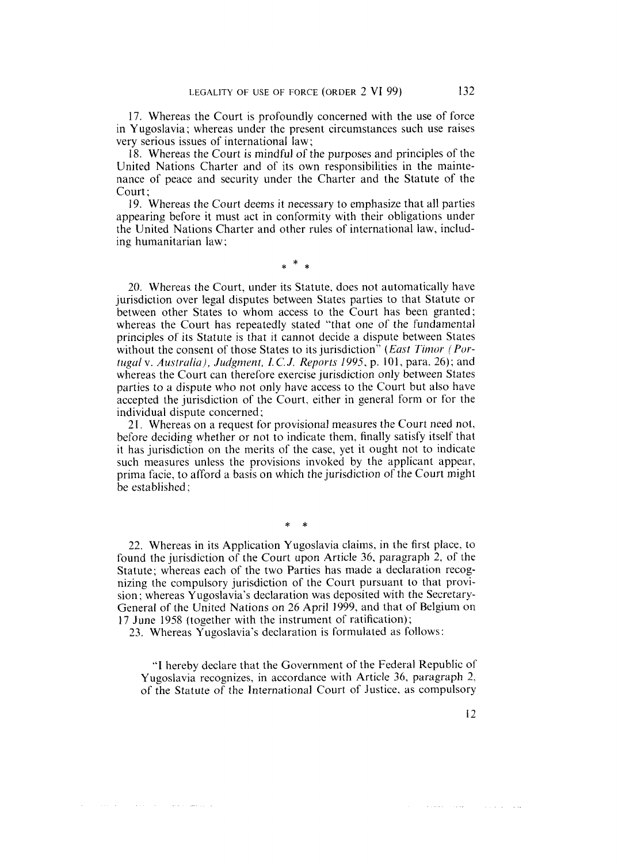17. Whereas the Court is profoundly concerned with the use of force in Yugoslavia; whereas under the present circumstances such use raises very serious issues of international law;

18. Whereas the Court is mindful of the purposes and principles of the United Nations Charter and of its own responsibilities in the maintenance of peace and security under the Charter and the Statute of the Court;

19. Whereas the Court deems it necessary to emphasize that al1 parties appearing before it must act in conformity with their obligations under the United Nations Charter and other rules of international law, including humanitarian law ;

 $* * *$ 

20. Whereas the Court, under its Statute, does not automatically have jurisdiction over legal disputes between States parties to that Statute or between other States to whom access to the Court has been granted; whereas the Court has repeatedly stated "that one of the fundamental principles of its Statute is that it cannot decide a dispute between States without the consent of those States to its jurisdiction" (*East Timor (Por*tugal v. Australia), Judgment, I.C.J. Reports 1995, p. 101, para. 26); and whereas the Court can therefore exercise jurisdiction only between States parties to a dispute who not only have access to the Court but also have accepted the jurisdiction of the Court, either in general form or for the individual dispute concerned ;

21. Whereas on a request for provisional measures the Court need not, before deciding whether or not to indicate them, finally satisfy itself that it has jurisdiction on the merits of the case, yet it ought not to indicate such measures unless the provisions invoked by the applicant appear, prima facie, to afford a basis on which the jurisdiction of the Court might be established;

22. Whereas in its Application Yugoslavia claims, in the first place, to found the jurisdiction of the Court upon Article 36, paragraph 2, of the Statute; whereas each of the two Parties has made a declaration recognizing the compulsory jurisdiction of the Court pursuant to that provision; whereas Yugoslavia's declaration was deposited with the Secretary-General of the United Nations on 26 April 1999, and that of Belgium on 17 June 1958 (together with the instrument of ratification);

23. Whereas Yugoslavia's declaration is formulated as follows:

**"1** hereby declare that the Government of the Federal Republic of Yugoslavia recognizes, in accordance with Article 36, paragraph 2, of the Statute of the International Court of Justice, as compulsory

 $12$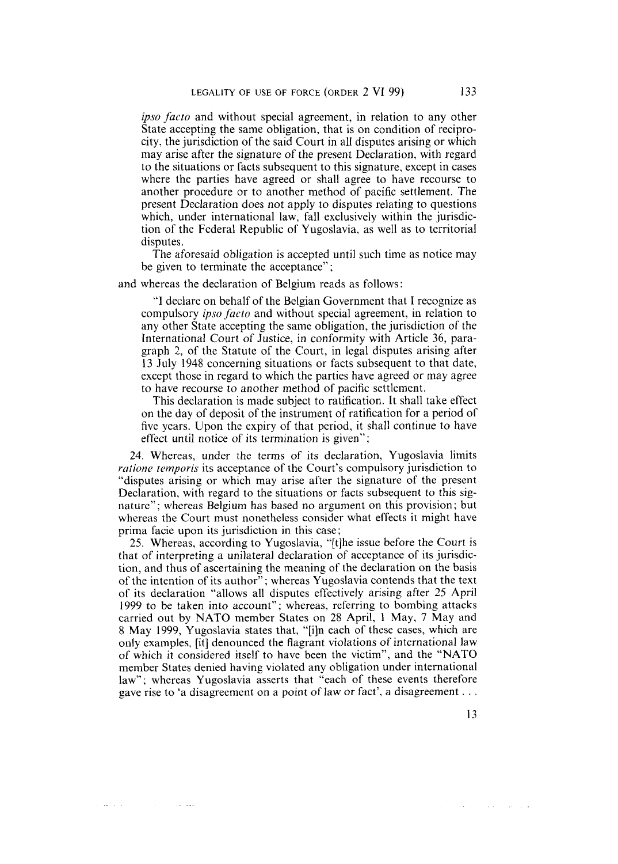*ipso facto* and without special agreement, in relation to any other State accepting the same obligation, that is on condition of reciprocity, the jurisdiction of the said Court in al1 disputes arising or which may arise after the signature of the present Declaration, with regard to the situations or facts subsequent to this signature, except in cases where the parties have agreed or shall agree to have recourse to another procedure or to another method of pacific settlement. The present Declaration does not apply to disputes relating to questions which, under international law, fall exclusively within the jurisdiction of the Federal Republic of Yugoslavia, as well as to territorial disputes.

The aforesaid obligation is accepted until such time as notice may be given to terminate the acceptance";

and whereas the declaration of Belgium reads as follows:

**"1** declare on behalf of the Belgian Government that 1 recognize as compulsory *ipso faclo* and without special agreement, in relation to any other State accepting the same obligation, the jurisdiction of the International Court of Justice, in conformity with Article 36, paragraph 2, of the Statute of the Court, in legal disputes arising after 13 July 1948 concerning situations or facts subsequent to that date, except those in regard to which the parties have agreed or may agree to have recourse to another method of pacific settlement.

This declaration is made subject to ratification. It shall take effect on the day of deposit of the instrument of ratification for a period of five years. Upon the expiry of that period, it shall continue to have effect until notice of its termination is given";

24. Whereas, under the terms of its declaration, Yugoslavia limits *ratione temporis* its acceptance of the Court's compulsory jurisdiction to "disputes arising or which may arise after the signature of the present Declaration, with regard to the situations or facts subsequent to this signature"; whereas Belgium has based no argument on this provision; but whereas the Court must nonetheless consider what effects it might have prima facie upon its jurisdiction in this case;

25. Whereas, according to Yugoslavia, "[tlhe issue before the Court is that of interpreting a unilateral declaration of acceptance of its jurisdiction, and thus of ascertaining the meaning of the declaration on the basis of the intention of its author"; whereas Yugoslavia contends that the text of its declaration "allows al1 disputes effectively arising after 25 April 1999 to be taken into account"; whereas, referring to bombing attacks carried out by NATO member States on 28 April, **1** May, 7 May and 8 May 1999, Yugoslavia states that, "[iln each of these cases, which are only examples, [it] denounced the flagrant violations of international law of which it considered itself to have been the victim", and the "NATO member States denied having violated any obligation under international law"; whereas Yugoslavia asserts that "each of these events therefore gave rise to 'a disagreement on a point of law or fact', a disagreement. . .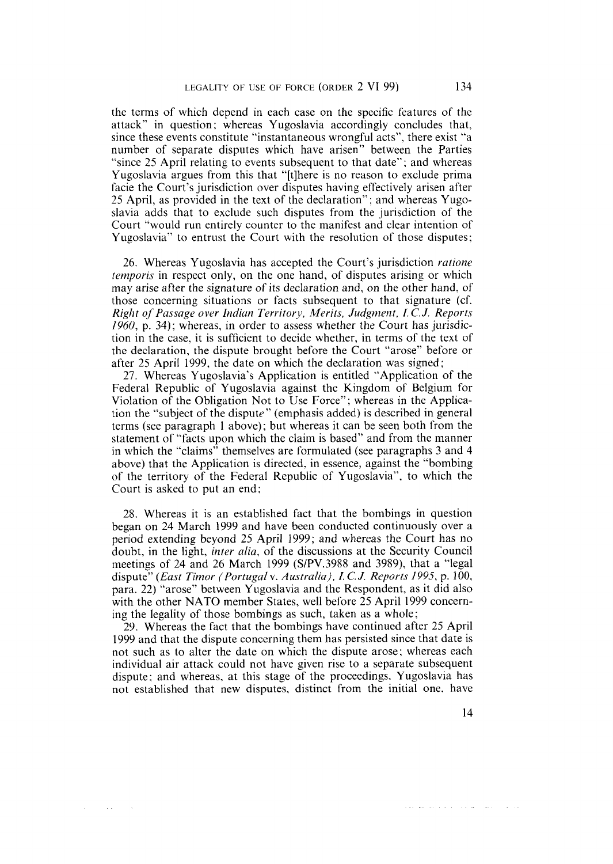the terms of which depend in each case on the specific features of the attack" in question; whereas Yugoslavia accordingly concludes that, since these events constitute "instantaneous wrongful acts", there exist "a number of separate disputes which have arisen" between the Parties "since 25 April relating to events subsequent to that date"; and whereas Yugoslavia argues from this that "[tlhere is no reason to exclude prima facie the Court's jurisdiction over disputes having effectively arisen after 25 April, as provided in the text of the declaration"; and whereas Yugoslavia adds that to exclude such disputes from the jurisdiction of the Court "would run entirely counter to the manifest and clear intention of Yugoslavia" to entrust the Court with the resolution of those disputes;

26. Whereas Yugoslavia has accepted the Court's jurisdiction ratione temporis in respect only, on the one hand, of disputes arising or which may arise after the signature of its declaration and, on the other hand, of those concerning situations or facts subsequent to that signature (cf. Right of Passage over Indiun Territory, Merits, Judgment, I.C.J. Reports 1960, p. 34); whereas, in order to assess whether the Court has jurisdiction in the case, it is sufficient to decide whether, in terms of the text of the declaration, the dispute brought before the Court "arose" before or after 25 April 1999, the date on which the declaration was signed;

27. Whereas Yugoslavia's Application is entitled "Application of the Federal Republic of Yugoslavia against the Kingdom of Belgium for Violation of the Obligation Not to Use Force"; whereas in the Application the "subject of the dispute" (emphasis added) is described in general terms (see paragraph 1 above); but whereas it can be seen both from the statement of "facts upon which the claim is based" and from the manner in which the "claims" themselves are formulated (see paragraphs 3 and 4 above) that the Application is directed, in essence, against the "bombing of the territory of the Federal Republic of Yugoslavia", to which the Court is asked to put an end;

28. Whereas it is an established fact that the bombings in question began on 24 March 1999 and have been conducted continuously over a period extending beyond 25 April 1999; and whereas the Court has no doubt, in the light, inter alia, of the discussions at the Security Council meetings of 24 and 26 March 1999 (SIPV.3988 and 3989), that a "legal dispute" (East Timor (Portugal v. Ausrrulia), **1.** C. J. Reports 1995, p. 100, para. 22) "arose" between Yugoslavia and the Respondent, as it did also with the other NATO member States, well before 25 April 1999 concerning the legality of those bombings as such, taken as a whole;

29. Whereas the fact that the bombings have continued after 25 April 1999 and that the dispute concerning them has persisted since that date is not such as to alter the date on which the dispute arose; whereas each individual air attack could not have given rise to a separate subsequent dispute; and whereas, at this stage of the proceedings. Yugoslavia has not established that new disputes, distinct from the initial one, have

 $\sim$  $\sim$   $\sim$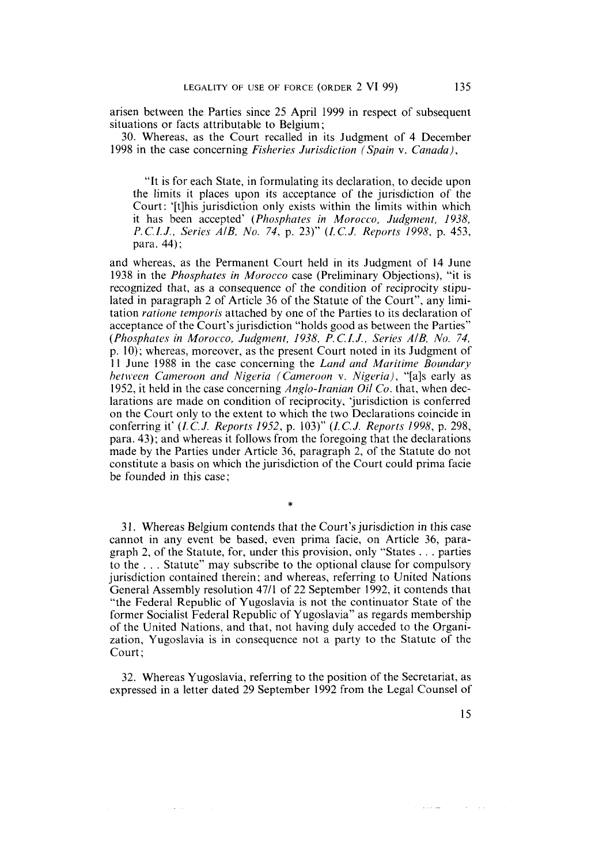arisen between the Parties since 25 April 1999 in respect of subsequent situations or facts attributable to Belgium;

30. Whereas, as the Court recalled in its Judgment of 4 December 1998 in the case concerning *Fisheries Jurisdiction (Spain* v. *Canada),* 

"It is for each State, in formulating its declaration, to decide upon the limits it places upon its acceptance of the jurisdiction of the Court: '[tlhis jurisdiction only exists within the limits within which it has been accepted' *(Phosphates in Morocco, Judgment, 1938, P. C. 1. J., Series AIB, No. 74,* p. 23)" **(1.** *C. J. Reports 1998,* p. 453, para. 44) ;

and whereas, as the Permanent Court held in its Judgment of 14 June 1938 in the *Phosphutes in Morocco* case (Preliminary Objections), "it is recognized that, as a consequence of the condition of reciprocity stipulated in paragraph 2 of Article 36 of the Statute of the Court", any limitation *rationr temporis* attached by one of the Parties to its declaration of acceptance of the Court's jurisdiction "holds good as between the Parties" *(Phosphates in Morocco, Judgment, 1938, P.C.I.J., Series AIB. No. 74.*  p. 10); whereas, moreover, as the present Court noted in its Judgment of 11 June 1988 in the case concerning the *Land und Maritime Boundary hetbveen Cameroon and Nigeria (Cumeroon* v. *Nigeria),* "[als early as 1952, it held in the case concerning *Anglo-lranian Oil Co.* that, when declarations are made on condition of reciprocity, 'jurisdiction is conferred on the Court only to the extent to which the two Declarations coincide in conferring il' *(1.* C. *J. Reports 1952,* p. 103)" **(1.** *C. J. Reports 1998,* p. 298, para. 43); and whereas it follows from the foregoing that the declarations made by the Parties under Article 36, paragraph 2, of the Statute do not constitute a basis on which the jurisdiction of the Court could prima facie be founded in this case;

3 1. Whereas Belgium contends that the Court's jurisdiction in this case cannot in any event be based, even prima facie, on Article 36, paragraph 2, of the Statute, for, under this provision, only "States . . . parties to the . . . Statute" may subscribe to the optional clause for compulsory jurisdiction contained therein; and whereas, referring to United Nations General Assembly resolution 4711 of 22 September 1992, it contends that "the Federal Republic of Yugoslavia is not the continuator State of the former Socialist Federal Republic of Yugoslavia" as regards membership of the United Nations, and that, not having duly acceded to the Organization, Yugoslavia is in consequence not a party to the Statute of the Court:

 $\ast$ 

32. Whereas Yugoslavia, referring to the position of the Secretariat, as expressed in a letter dated 29 September 1992 from the Legal Counsel of

 $\sim$  and  $\sim$  and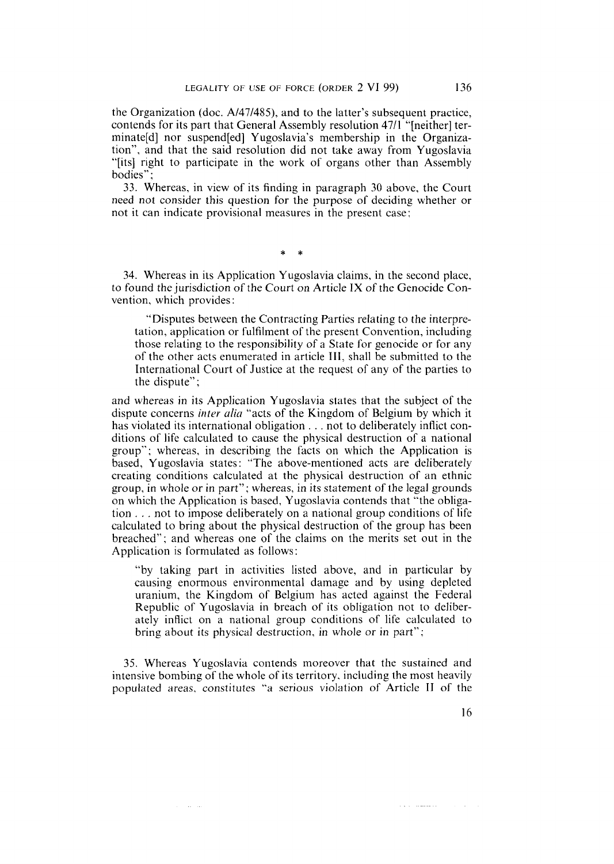the Organization (doc. Al47/485), and to the latter's subsequent practice, contends for its part that General Assembly resolution 4711 "[neither] terminate[d] nor suspend[ed] Yugoslavia's membership in the Organization", and that the said resolution did not take away from Yugoslavia "[its] right to participate in the work of organs other than Assembly bodies";

33. Whereas, in view of its finding in paragraph 30 above, the Court need not consider this question for the purpose of deciding whether or not it can indicate provisional measures in the present case;

 $\ddot{\phantom{1}}$ 

34. Whereas in its Application Yugoslavia claims, in the second place, to found the jurisdiction of the Court on Article IX of the Genocide Convention, which provides :

"Disputes between the Contracting Parties relating to the interpretation, application or fulfilment of the present Convention, including those relating to the responsibility of a State for genocide or for any of the other acts enumerated in article III, shall be submitted to the International Court of Justice at the request of any of the parties to the dispute";

and whereas in its Application Yugoslavia states that the subject of the dispute concerns *inter* alia "acts of the Kingdom of Belgium by which it has violated its international obligation . . . not to deliberately inflict conditions of life calculated to cause the physical destruction of a national group"; whereas, in describing the facts on which the Application is based, Yugoslavia states: "The above-mentioned acts are deliberately creating conditions calculated at the physical destruction of an ethnic group, in whole or in part"; whereas, in its statement of the legal grounds on which the Application is based, Yugoslavia contends that "the obligation . . . not to impose deliberately on a national group conditions of life calculated to bring about the physical destruction of the group has been breached"; and whereas one of the claims on the merits set out in the Application is formulated as follows:

"by taking part in activities listed above, and in particular by causing enormous environmental damage and by using depleted uranium, the Kingdom of Belgium has acted against the Federal Republic of Yugoslavia in breach of its obligation not to deliberately inflict on a national group conditions of life calculated to bring about its physical destruction, in whole or in part";

35. Whereas Yugoslavia contends moreover that the sustained and intensive bombing of the whole of its territory. including the most heavily populated areas, constitutes "a serious violation of Article II of the

a se a comunicación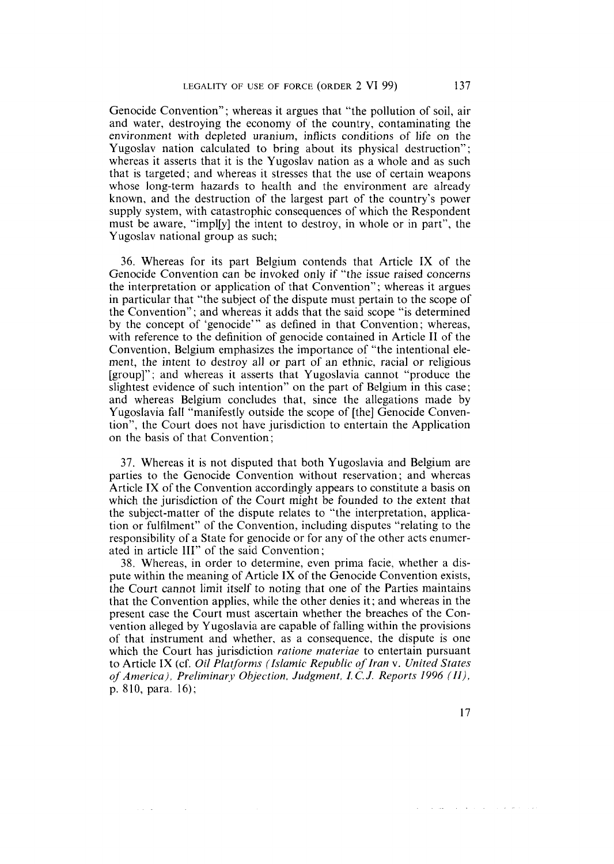Genocide Convention"; whereas it argues that "the pollution of soil, air and water, destroying the economy of the country, contaminating the environment with depleted uranium, inflicts conditions of life on the Yugoslav nation calculated to bring about its physical destruction"; whereas it asserts that it is the Yugoslav nation as a whole and as such that is targeted; and whereas it stresses that the use of certain weapons whose long-term hazards to health and the environment are already known, and the destruction of the largest part of the country's power supply system, with catastrophic consequences of which the Respondent must be aware, "impl[y] the intent to destroy, in whole or in part", the Yugoslav national group as such;

36. Whereas for its part Belgium contends that Article IX of the Genocide Convention can be invoked only if "the issue raised concerns the interpretation or application of that Convention"; whereas it argues in particular that "the subject of the dispute must pertain to the scope of the Convention"; and whereas it adds that the said scope "is determined by the concept of 'genocide'" as defined in that Convention; whereas, with reference to the definition of genocide contained in Article II of the Convention, Belgium emphasizes the importance of "the intentional element, the intent to destroy al1 or part of an ethnic, racial or religious [group]"; and whereas it asserts that Yugoslavia cannot "produce the slightest evidence of such intention" on the part of Belgium in this case; and whereas Belgium concludes that, since the allegations made by Yugoslavia fa11 "manifestly outside the scope of [the] Genocide Convention", the Court does not have jurisdiction to entertain the Application on the basis of that Convention;

37. Whereas it is not disputed that both Yugoslavia and Belgium are parties to the Genocide Convention without reservation; and whereas Article IX of the Convention accordingly appears to constitute a basis on which the jurisdiction of the Court might be founded to the extent that the subject-matter of the dispute relates to "the interpretation, application or fulfilment" of the Convention, including disputes "relating to the responsibility of a State for genocide or for any of the other acts enumerated in article III" of the said Convention;

38. Whereas, in order to determine, even prima facie, whether a dispute within the meaning of Article IX of the Genocide Convention exists, the Court cannot limit itself to noting that one of the Parties maintains that the Convention applies, while the other denies it; and whereas in the present case the Court must ascertain whether the breaches of the Convention alleged by Yugoslavia are capable of falling within the provisions of that instrument and whether. as a consequence, the dispute is one which the Court has jurisdiction *ratione materiae* to entertain pursuant to Article IX (cf. *Oil Platforms (Islamic Republic of Iran* v. *United States of America), Preliminary Objection, Judgment, I. C. J. Reports 1996 (Il),*  p. 810, para. 16);

control and control of the state

 $\alpha = 0.4$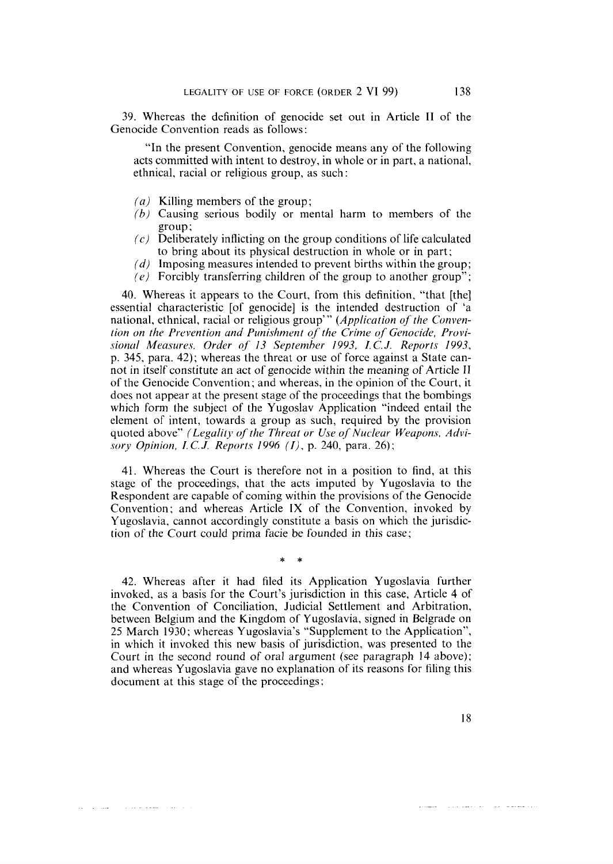39. Whereas the definition of genocide set out in Article II of the Genocide Convention reads as follows:

"In the present Convention, genocide means any of the following acts committed with intent to destroy, in whole or in part, a national, ethnical, racial or religious group, as such:

- *(a)* Killing members of the group;
- *(b)* Causing serious bodily or mental harm to members of the group:
- $(c)$  Deliberately inflicting on the group conditions of life calculated to bring about its physical destruction in whole or in part;
- *(d)* Imposing measures intended to prevent births within the group;
- $(e)$  Forcibly transferring children of the group to another group";

40. Whereas it appears to the Court, from this definition, "that [the] essential characteristic [of genocide] is the intended destruction of 'a national, ethnical, racial or religious group'" *(Application of the Conven*tion on the Prevention and Punishment of the Crime of Genocide, Provi*sional Measures, Order of 13 Septemher 1993,* **1.** *C. J. Reports 1993,*  p. 345, para. 42); whereas the threat or use of force against a State cannot in itself constitute an act of genocide within the meaning of Article II of the Genocide Convention; and whereas, in the opinion of the Court, it does not appear at the present stage of the proceedings that the bombings which form the subject of the Yugoslav Application "indeed entail the element of intent, towards a group as such, required by the provision quoted above" *(Legality of the Threat or Use of Nuclear Weapons, Advisory Opinion,* **1.** *C. J. Reports 1996 (I),* p. 240, para. 26);

41. Whereas the Court is therefore not in a position to find, at this stage of the proceedings, that the acts imputed by Yugoslavia to the Respondent are capable of coming within the provisions of the Genocide Convention; and whereas Article IX of the Convention, invoked by Yugoslavia, cannot accordingly constitute a basis on which the jurisdiction of the Court could prima facie be founded in this case;

> $\mathbf{k}$  $\star$

42. Whereas after it had filed its Application Yugoslavia further invoked, as a basis for the Court's jurisdiction in this case, Article 4 of the Convention of Conciliation, Judicial Settlement and Arbitration, between Belgium and the Kingdom of Yugoslavia, signed in Belgrade on 25 March 1930; whereas Yugoslavia's "Supplement to the Application", in which it invoked this new basis of jurisdiction, was presented to the Court in the second round of oral argument (see paragraph 14 above); and whereas Yugoslavia gave no explanation of its reasons for filing this document at this stage of the proceedings;

and the company

المتحدث المصاحب والمتحدث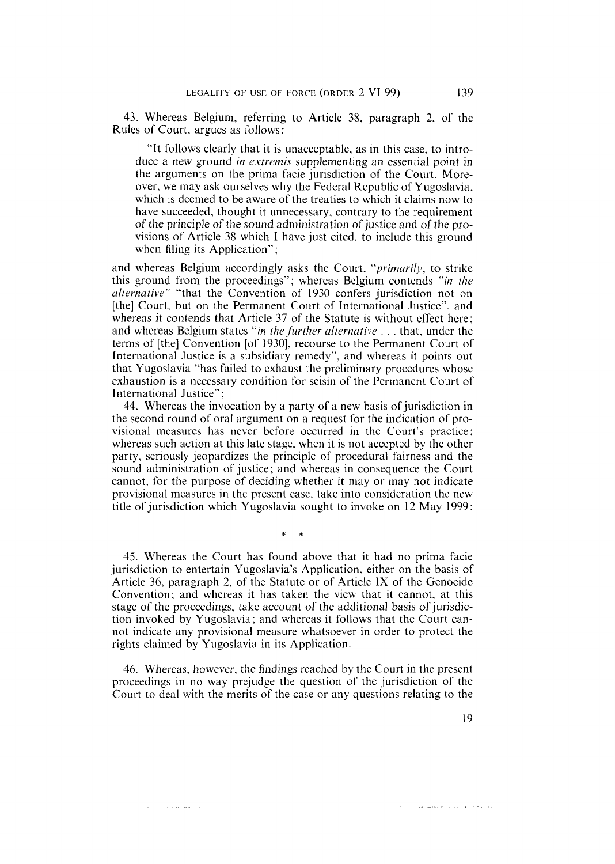43. Whereas Belgium, referring to Article 38, paragraph 2, of the Rules of Court, argues as follows:

"lt follows clearly that it is unacceptable, as in this case, to introduce a new ground *in extremis* supplementing an essential point in the arguments on the prima facie jurisdiction of the Court. Moreover, we may ask ourselves why the Federal Republic of Yugoslavia, which is deemed to be aware of the treaties to which it claims now to have succeeded, thought it unnecessary, contrary to the requirement of the principle of the sound administration of justice and of the provisions of Article 38 which 1 have just cited, to include this ground when filing its Application";

and whereas Belgium accordingly asks the Court, "*primarily*, to strike this ground from the proceedings"; whereas Belgium contends *"in the ulternutive"* "that the Convention of 1930 confers jurisdiction not on [the] Court, but on the Permanent Court of International Justice", and whereas it contends that Article 37 of the Statute is without effect here; and whereas Belgium states "in the further alternative . . . that, under the terms of [the] Convention [of 19301, recourse to the Permanent Court of International Justice is a subsidiary remedy", and whereas it points out that Yugoslavia "has failed to exhaust the preliminary procedures whose exhaustion is a necessary condition for seisin of the Permanent Court of International Justice" :

44. Whereas the invocation by a party of a new basis of jurisdiction in the second round of oral argument on a request for the indication of provisional measures has never before occurred in the Court's practice: whereas such action at this late stage, when it is not accepted by the other party, seriously jeopardizes the principle of procedural fairness and the sound administration of justice; and whereas in consequence the Court cannot, for the purpose of deciding whether it may or may not indicate provisional measures in the present case, take into consideration the new title of jurisdiction which Yugoslavia sought to invoke on 12 May 1999;

45. Whereas the Court has found above that it had no prima facie jurisdiction to entertain Yugoslavia's Application, either on the basis of Article 36, paragraph 2, of the Statute or of Article IX of the Genocide Convention; and whereas it has taken the view that it cannot, at this stage of the proceedings, take account of the additional basis of jurisdiction invoked by Yugoslavia; and whereas it follows that the Court cannot indicate any provisional measure whatsoever in order to protect the rights claimed by Yugoslavia in its Application.

46. Whereas, however, the findings reached by the Court in the present proceedings in no way prcjudge the question of the jurisdiction of the Court to deal with the merits of the case or any questions relating to the

 $\sim$ 

للطائف والمراجي

139

19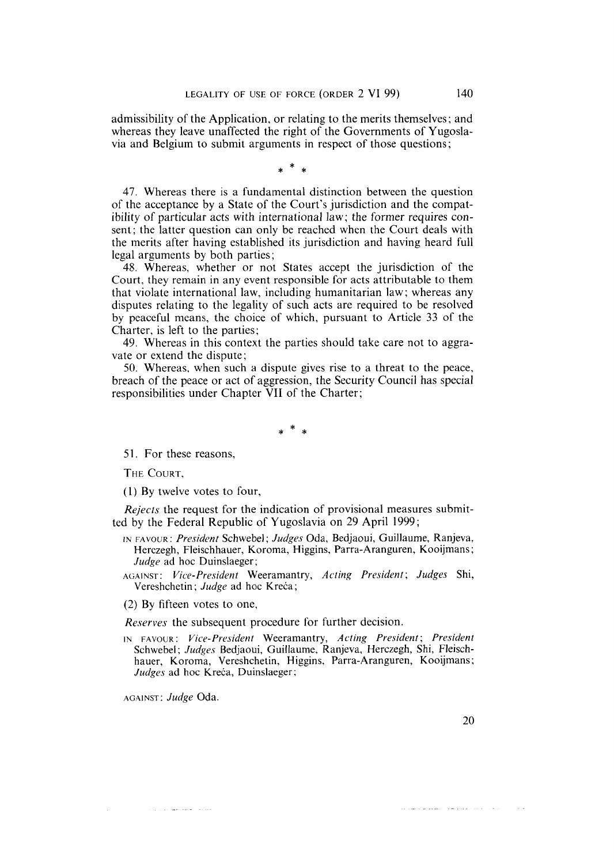admissibility of the Application, or relating to the merits themselves; and whereas they leave unaffected the right of the Governments of Yugoslavia and Belgium to submit arguments in respect of those questions;

 $*$   $*$ 

47. Whereas there is a fundamental distinction between the question of the acceptance by a State of the Court's jurisdiction and the compatibility of particular acts with international law; the former requires consent; the latter question can only be reached when the Court deals with the merits after having established its jurisdiction and having heard full legal arguments by both parties;

48. Whereas, whether or not States accept the jurisdiction of the Court, they remain in any event responsible for acts attributable to them that violate international law, including humanitarian law; whereas any disputes relating to the legality of such acts are required to be resolved by peaceful means, the choice of which, pursuant to Article 33 of the Charter, is left to the parties;

49. Whereas in this context the parties should take care not to aggravate or extend the dispute;

50. Whereas, when such a dispute gives rise to a threat to the peace, breach of the peace or act of aggression, the Security Council has special responsibilities under Chapter VI1 of the Charter;

*5* 1. For these reasons,

THE COURT.

(1) By twelve votes to four,

*Rejects* the request for the indication of provisional measures submitted by the Federal Republic of Yugoslavia on 29 April 1999;

IN FAVOUR: President Schwebel; Judges Oda, Bedjaoui, Guillaume, Ranjeva, Herczegh, Fleischhauer, Koroma, Higgins, Parra-Aranguren, Kooijmans; Judge ad hoc Duinslaeger;

AGAINST: Vice-President Weeramantry, Acting President; Judges Shi, Vereshchetin; Judge ad hoc Kreća;

(2) By fifteen votes to one,

*Reserves* the subsequent procedure for further decision.

IN FAVOUR: Vice-President Weeramantry, Acting President; President Schwebel; Judges Bedjaoui, Guillaume, Ranjeva, Herczegh, Shi, Fleischhauer, Koroma, Vereshchetin, Higgins, Parra-Aranguren, Kooijmans; Judges ad hoc Kreća, Duinslaeger;

AGAINST: Judge Oda

 $\alpha$  ,  $\alpha$  ,  $\alpha$  ,  $\alpha$  , and  $\alpha$  , and  $\alpha$  ,  $\alpha$  ,  $\alpha$  ,  $\alpha$ 

 $\sim$ 

المنافر المتحدث المقابلة للمستقلق المستحدث والموارد فدا